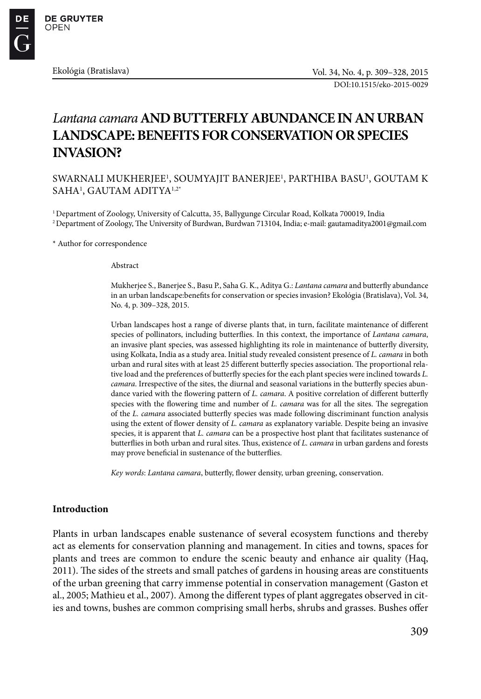# *Lantana camara* **AND BUTTERFLY ABUNDANCE IN AN URBAN LANDSCAPE: BENEFITS FOR CONSERVATION OR SPECIES INVASION?**

SWARNALI MUKHERJEE', SOUMYAJIT BANERJEE', PARTHIBA BASU', GOUTAM K SAHA1 , GAUTAM ADITYA1,2\*

1 Department of Zoology, University of Calcutta, 35, Ballygunge Circular Road, Kolkata 700019, India 2 Department of Zoology, The University of Burdwan, Burdwan 713104, India; e-mail: gautamaditya2001@gmail.com

\* Author for correspondence

Abstract

Mukherjee S., Banerjee S., Basu P., Saha G. K., Aditya G.: *Lantana camara* and butterfly abundance in an urban landscape:benefits for conservation or species invasion? Ekológia (Bratislava), Vol. 34, No. 4, p. 309–328, 2015.

Urban landscapes host a range of diverse plants that, in turn, facilitate maintenance of different species of pollinators, including butterflies. In this context, the importance of *Lantana camara*, an invasive plant species, was assessed highlighting its role in maintenance of butterfly diversity, using Kolkata, India as a study area. Initial study revealed consistent presence of *L. camara* in both urban and rural sites with at least 25 different butterfly species association. The proportional relative load and the preferences of butterfly species for the each plant species were inclined towards *L. camara*. Irrespective of the sites, the diurnal and seasonal variations in the butterfly species abundance varied with the flowering pattern of *L. camara*. A positive correlation of different butterfly species with the flowering time and number of *L. camara* was for all the sites. The segregation of the *L. camara* associated butterfly species was made following discriminant function analysis using the extent of flower density of *L. camara* as explanatory variable. Despite being an invasive species, it is apparent that *L. camara* can be a prospective host plant that facilitates sustenance of butterflies in both urban and rural sites. Thus, existence of *L. camara* in urban gardens and forests may prove beneficial in sustenance of the butterflies.

*Key words*: *Lantana camara*, butterfly, flower density, urban greening, conservation.

# **Introduction**

Plants in urban landscapes enable sustenance of several ecosystem functions and thereby act as elements for conservation planning and management. In cities and towns, spaces for plants and trees are common to endure the scenic beauty and enhance air quality (Haq, 2011). The sides of the streets and small patches of gardens in housing areas are constituents of the urban greening that carry immense potential in conservation management (Gaston et al., 2005; Mathieu et al., 2007). Among the different types of plant aggregates observed in cities and towns, bushes are common comprising small herbs, shrubs and grasses. Bushes offer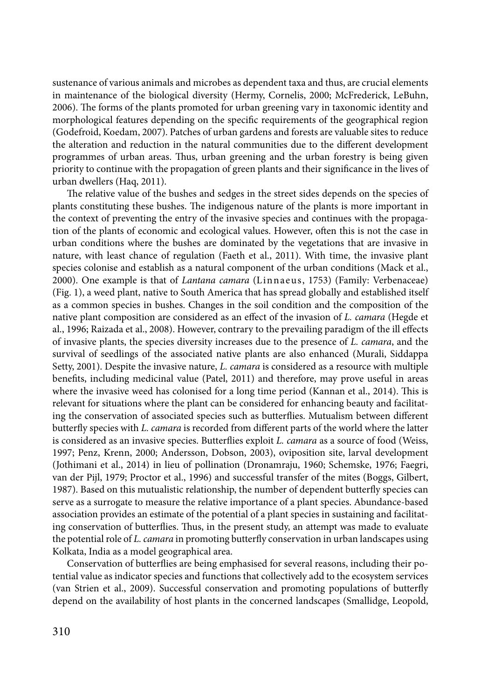sustenance of various animals and microbes as dependent taxa and thus, are crucial elements in maintenance of the biological diversity (Hermy, Cornelis, 2000; McFrederick, LeBuhn, 2006). The forms of the plants promoted for urban greening vary in taxonomic identity and morphological features depending on the specific requirements of the geographical region (Godefroid, Koedam, 2007). Patches of urban gardens and forests are valuable sites to reduce the alteration and reduction in the natural communities due to the different development programmes of urban areas. Thus, urban greening and the urban forestry is being given priority to continue with the propagation of green plants and their significance in the lives of urban dwellers (Haq, 2011).

The relative value of the bushes and sedges in the street sides depends on the species of plants constituting these bushes. The indigenous nature of the plants is more important in the context of preventing the entry of the invasive species and continues with the propagation of the plants of economic and ecological values. However, often this is not the case in urban conditions where the bushes are dominated by the vegetations that are invasive in nature, with least chance of regulation (Faeth et al., 2011). With time, the invasive plant species colonise and establish as a natural component of the urban conditions (Mack et al., 2000). One example is that of *Lantana camara* (Linnaeus, 1753) (Family: Verbenaceae) (Fig. 1), a weed plant, native to South America that has spread globally and established itself as a common species in bushes. Changes in the soil condition and the composition of the native plant composition are considered as an effect of the invasion of *L. camara* (Hegde et al., 1996; Raizada et al., 2008). However, contrary to the prevailing paradigm of the ill effects of invasive plants, the species diversity increases due to the presence of *L. camara*, and the survival of seedlings of the associated native plants are also enhanced (Murali, Siddappa Setty, 2001). Despite the invasive nature, *L. camara* is considered as a resource with multiple benefits, including medicinal value (Patel, 2011) and therefore, may prove useful in areas where the invasive weed has colonised for a long time period (Kannan et al., 2014). This is relevant for situations where the plant can be considered for enhancing beauty and facilitating the conservation of associated species such as butterflies. Mutualism between different butterfly species with *L. camara* is recorded from different parts of the world where the latter is considered as an invasive species. Butterflies exploit *L. camara* as a source of food (Weiss, 1997; Penz, Krenn, 2000; Andersson, Dobson, 2003), oviposition site, larval development (Jothimani et al., 2014) in lieu of pollination (Dronamraju, 1960; Schemske, 1976; Faegri, van der Pijl, 1979; Proctor et al., 1996) and successful transfer of the mites (Boggs, Gilbert, 1987). Based on this mutualistic relationship, the number of dependent butterfly species can serve as a surrogate to measure the relative importance of a plant species. Abundance-based association provides an estimate of the potential of a plant species in sustaining and facilitating conservation of butterflies. Thus, in the present study, an attempt was made to evaluate the potential role of *L. camara* in promoting butterfly conservation in urban landscapes using Kolkata, India as a model geographical area.

Conservation of butterflies are being emphasised for several reasons, including their potential value as indicator species and functions that collectively add to the ecosystem services (van Strien et al., 2009). Successful conservation and promoting populations of butterfly depend on the availability of host plants in the concerned landscapes (Smallidge, Leopold,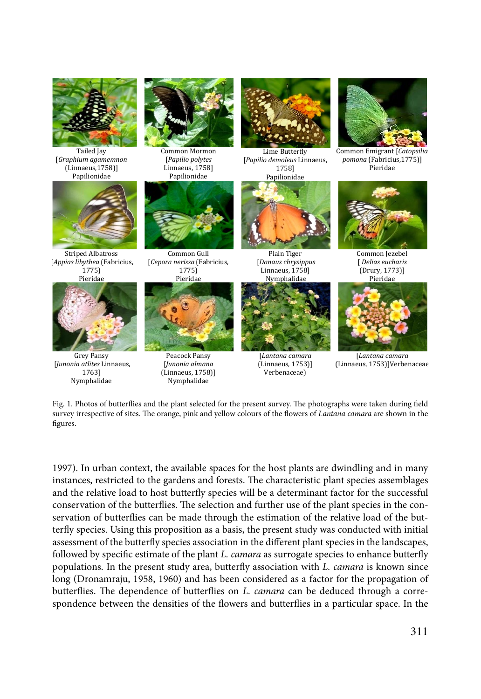

Fig. 1. Photos of butterflies and the plant selected for the present survey. The photographs were taken during field survey irrespective of sites. The orange, pink and yellow colours of the flowers of *Lantana camara* are shown in the figures.

1997). In urban context, the available spaces for the host plants are dwindling and in many instances, restricted to the gardens and forests. The characteristic plant species assemblages and the relative load to host butterfly species will be a determinant factor for the successful conservation of the butterflies. The selection and further use of the plant species in the conservation of butterflies can be made through the estimation of the relative load of the butterfly species. Using this proposition as a basis, the present study was conducted with initial assessment of the butterfly species association in the different plant species in the landscapes, followed by specific estimate of the plant *L. camara* as surrogate species to enhance butterfly populations. In the present study area, butterfly association with *L. camara* is known since long (Dronamraju, 1958, 1960) and has been considered as a factor for the propagation of butterflies. The dependence of butterflies on *L. camara* can be deduced through a correspondence between the densities of the flowers and butterflies in a particular space. In the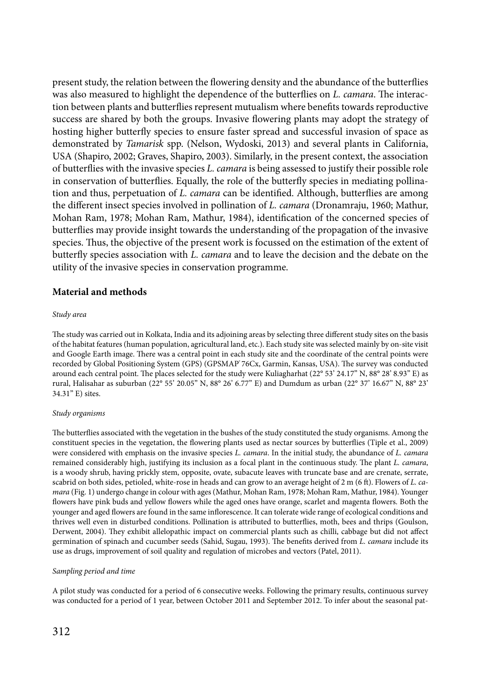present study, the relation between the flowering density and the abundance of the butterflies was also measured to highlight the dependence of the butterflies on *L. camara*. The interaction between plants and butterflies represent mutualism where benefits towards reproductive success are shared by both the groups. Invasive flowering plants may adopt the strategy of hosting higher butterfly species to ensure faster spread and successful invasion of space as demonstrated by *Tamarisk* spp. (Nelson, Wydoski, 2013) and several plants in California, USA (Shapiro, 2002; Graves, Shapiro, 2003). Similarly, in the present context, the association of butterflies with the invasive species *L. camara* is being assessed to justify their possible role in conservation of butterflies. Equally, the role of the butterfly species in mediating pollination and thus, perpetuation of *L. camara* can be identified. Although, butterflies are among the different insect species involved in pollination of *L. camara* (Dronamraju, 1960; Mathur, Mohan Ram, 1978; Mohan Ram, Mathur, 1984), identification of the concerned species of butterflies may provide insight towards the understanding of the propagation of the invasive species. Thus, the objective of the present work is focussed on the estimation of the extent of butterfly species association with *L. camara* and to leave the decision and the debate on the utility of the invasive species in conservation programme.

# **Material and methods**

## *Study area*

The study was carried out in Kolkata, India and its adjoining areas by selecting three different study sites on the basis of the habitat features (human population, agricultural land, etc.). Each study site was selected mainly by on-site visit and Google Earth image. There was a central point in each study site and the coordinate of the central points were recorded by Global Positioning System (GPS) (GPSMAP<sup>®</sup> 76Cx, Garmin, Kansas, USA). The survey was conducted around each central point. The places selected for the study were Kuliagharhat (22° 53' 24.17" N, 88° 28' 8.93" E) as rural, Halisahar as suburban (22° 55' 20.05" N, 88° 26' 6.77" E) and Dumdum as urban (22° 37' 16.67" N, 88° 23' 34.31" E) sites.

## *Study organisms*

The butterflies associated with the vegetation in the bushes of the study constituted the study organisms. Among the constituent species in the vegetation, the flowering plants used as nectar sources by butterflies (Tiple et al., 2009) were considered with emphasis on the invasive species *L. camara*. In the initial study, the abundance of *L. camara*  remained considerably high, justifying its inclusion as a focal plant in the continuous study. The plant *L. camara*, is a woody shrub, having prickly stem, opposite, ovate, subacute leaves with truncate base and are crenate, serrate, scabrid on both sides, petioled, white-rose in heads and can grow to an average height of 2 m (6 ft). Flowers of *L. camara* (Fig. 1) undergo change in colour with ages (Mathur, Mohan Ram, 1978; Mohan Ram, Mathur, 1984). Younger flowers have pink buds and yellow flowers while the aged ones have orange, scarlet and magenta flowers. Both the younger and aged flowers are found in the same inflorescence. It can tolerate wide range of ecological conditions and thrives well even in disturbed conditions. Pollination is attributed to butterflies, moth, bees and thrips (Goulson, Derwent, 2004). They exhibit allelopathic impact on commercial plants such as chilli, cabbage but did not affect germination of spinach and cucumber seeds (Sahid, Sugau, 1993). The benefits derived from *L. camara* include its use as drugs, improvement of soil quality and regulation of microbes and vectors (Patel, 2011).

## *Sampling period and time*

A pilot study was conducted for a period of 6 consecutive weeks. Following the primary results, continuous survey was conducted for a period of 1 year, between October 2011 and September 2012. To infer about the seasonal pat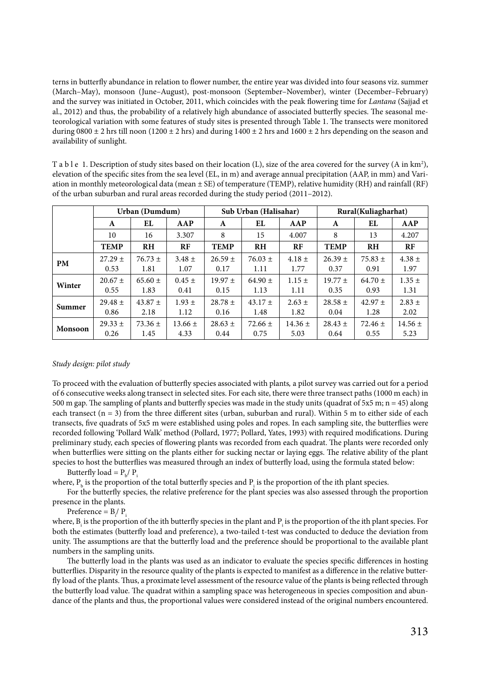terns in butterfly abundance in relation to flower number, the entire year was divided into four seasons viz. summer (March–May), monsoon (June–August), post-monsoon (September–November), winter (December–February) and the survey was initiated in October, 2011, which coincides with the peak flowering time for *Lantana* (Sajjad et al., 2012) and thus, the probability of a relatively high abundance of associated butterfly species. The seasonal meteorological variation with some features of study sites is presented through Table 1. The transects were monitored during  $0800 \pm 2$  hrs till noon (1200  $\pm 2$  hrs) and during 1400  $\pm 2$  hrs and 1600  $\pm 2$  hrs depending on the season and availability of sunlight.

T a b l e 1. Description of study sites based on their location (L), size of the area covered for the survey (A in km2 ), elevation of the specific sites from the sea level (EL, in m) and average annual precipitation (AAP, in mm) and Variation in monthly meteorological data (mean ± SE) of temperature (TEMP), relative humidity (RH) and rainfall (RF) of the urban suburban and rural areas recorded during the study period (2011–2012).

|                |             | Urban (Dumdum) |           |             | Sub Urban (Halisahar) |             |             | Rural(Kuliagharhat) |            |
|----------------|-------------|----------------|-----------|-------------|-----------------------|-------------|-------------|---------------------|------------|
|                | A           | EL             | AAP       | A           | EL                    | AAP         | A           | EL                  | AAP        |
|                | 10          | 16             | 3.307     | 8           | 15                    | 4.007       | 8           | 13                  | 4.207      |
|                | <b>TEMP</b> | <b>RH</b>      | RF        | <b>TEMP</b> | <b>RH</b>             | RF          | <b>TEMP</b> | <b>RH</b>           | RF         |
| <b>PM</b>      | $27.29 +$   | $76.73 +$      | $3.48 +$  | $26.59 +$   | $76.03 +$             | $4.18 +$    | $26.39 +$   | $75.83 +$           | $4.38 +$   |
|                | 0.53        | 1.81           | 1.07      | 0.17        | 1.11                  | 1.77        | 0.37        | 0.91                | 1.97       |
| Winter         | $20.67 \pm$ | $65.60 +$      | $0.45 +$  | $19.97 +$   | $64.90 \pm$           | $1.15 +$    | $19.77 +$   | $64.70 +$           | $1.35 +$   |
|                | 0.55        | 1.83           | 0.41      | 0.15        | 1.13                  | 1.11        | 0.35        | 0.93                | 1.31       |
| Summer         | $29.48 +$   | $43.87 +$      | $1.93 +$  | $28.78 +$   | $43.17 +$             | $2.63 +$    | $28.58 +$   | $42.97 +$           | $2.83 \pm$ |
|                | 0.86        | 2.18           | 1.12      | 0.16        | 1.48                  | 1.82        | 0.04        | 1.28                | 2.02       |
| <b>Monsoon</b> | $29.33 +$   | $73.36 \pm$    | $13.66 +$ | $28.63 +$   | $72.66 \pm$           | $14.36 \pm$ | $28.43 +$   | $72.46 +$           | $14.56 +$  |
|                | 0.26        | 1.45           | 4.33      | 0.44        | 0.75                  | 5.03        | 0.64        | 0.55                | 5.23       |

#### *Study design: pilot study*

To proceed with the evaluation of butterfly species associated with plants*,* a pilot survey was carried out for a period of 6 consecutive weeks along transect in selected sites. For each site, there were three transect paths (1000 m each) in 500 m gap. The sampling of plants and butterfly species was made in the study units (quadrat of 5x5 m;  $n = 45$ ) along each transect ( $n = 3$ ) from the three different sites (urban, suburban and rural). Within 5 m to either side of each transects, five quadrats of 5x5 m were established using poles and ropes. In each sampling site, the butterflies were recorded following 'Pollard Walk' method (Pollard, 1977; Pollard, Yates, 1993) with required modifications. During preliminary study, each species of flowering plants was recorded from each quadrat. The plants were recorded only when butterflies were sitting on the plants either for sucking nectar or laying eggs. The relative ability of the plant species to host the butterflies was measured through an index of butterfly load, using the formula stated below:

Butterfly load =  $P_b / P_i$ 

where,  $P_{\text{b}}$  is the proportion of the total butterfly species and  $P_{\text{i}}$  is the proportion of the ith plant species.

For the butterfly species, the relative preference for the plant species was also assessed through the proportion presence in the plants.

Preference =  $B_i / P_i$ 

where,  $B_i$  is the proportion of the ith butterfly species in the plant and  $P_i$  is the proportion of the ith plant species. For both the estimates (butterfly load and preference), a two-tailed t-test was conducted to deduce the deviation from unity. The assumptions are that the butterfly load and the preference should be proportional to the available plant numbers in the sampling units.

The butterfly load in the plants was used as an indicator to evaluate the species specific differences in hosting butterflies. Disparity in the resource quality of the plants is expected to manifest as a difference in the relative butterfly load of the plants. Thus, a proximate level assessment of the resource value of the plants is being reflected through the butterfly load value. The quadrat within a sampling space was heterogeneous in species composition and abundance of the plants and thus, the proportional values were considered instead of the original numbers encountered.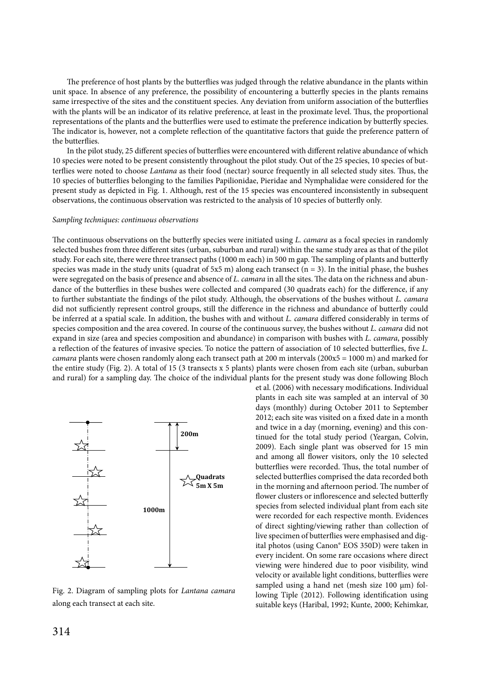The preference of host plants by the butterflies was judged through the relative abundance in the plants within unit space. In absence of any preference, the possibility of encountering a butterfly species in the plants remains same irrespective of the sites and the constituent species. Any deviation from uniform association of the butterflies with the plants will be an indicator of its relative preference, at least in the proximate level. Thus, the proportional representations of the plants and the butterflies were used to estimate the preference indication by butterfly species. The indicator is, however, not a complete reflection of the quantitative factors that guide the preference pattern of the butterflies.

In the pilot study, 25 different species of butterflies were encountered with different relative abundance of which 10 species were noted to be present consistently throughout the pilot study. Out of the 25 species, 10 species of butterflies were noted to choose *Lantana* as their food (nectar) source frequently in all selected study sites. Thus, the 10 species of butterflies belonging to the families Papilionidae, Pieridae and Nymphalidae were considered for the present study as depicted in Fig. 1. Although, rest of the 15 species was encountered inconsistently in subsequent observations, the continuous observation was restricted to the analysis of 10 species of butterfly only.

#### *Sampling techniques: continuous observations*

The continuous observations on the butterfly species were initiated using *L. camara* as a focal species in randomly selected bushes from three different sites (urban, suburban and rural) within the same study area as that of the pilot study. For each site, there were three transect paths (1000 m each) in 500 m gap. The sampling of plants and butterfly species was made in the study units (quadrat of 5x5 m) along each transect ( $n = 3$ ). In the initial phase, the bushes were segregated on the basis of presence and absence of *L. camara* in all the sites. The data on the richness and abundance of the butterflies in these bushes were collected and compared (30 quadrats each) for the difference, if any to further substantiate the findings of the pilot study. Although, the observations of the bushes without *L. camara*  did not sufficiently represent control groups, still the difference in the richness and abundance of butterfly could be inferred at a spatial scale. In addition, the bushes with and without *L. camara* differed considerably in terms of species composition and the area covered. In course of the continuous survey, the bushes without *L. camara* did not expand in size (area and species composition and abundance) in comparison with bushes with *L. camara*, possibly a reflection of the features of invasive species. To notice the pattern of association of 10 selected butterflies, five *L. camara* plants were chosen randomly along each transect path at 200 m intervals (200x5 = 1000 m) and marked for the entire study (Fig. 2). A total of 15 (3 transects x 5 plants) plants were chosen from each site (urban, suburban and rural) for a sampling day. The choice of the individual plants for the present study was done following Bloch Ekológia -2015-Manuscript



Fig. 2. Diagram of sampling plots for *Lantana camara* along each transect at each site.

et al. (2006) with necessary modifications. Individual plants in each site was sampled at an interval of 30 days (monthly) during October 2011 to September 2012; each site was visited on a fixed date in a month and twice in a day (morning, evening) and this continued for the total study period (Yeargan, Colvin, 2009). Each single plant was observed for 15 min and among all flower visitors, only the 10 selected butterflies were recorded. Thus, the total number of selected butterflies comprised the data recorded both in the morning and afternoon period. The number of flower clusters or inflorescence and selected butterfly species from selected individual plant from each site were recorded for each respective month. Evidences of direct sighting/viewing rather than collection of live specimen of butterflies were emphasised and digital photos (using Canon® EOS 350D) were taken in every incident. On some rare occasions where direct viewing were hindered due to poor visibility, wind velocity or available light conditions, butterflies were sampled using a hand net (mesh size 100 μm) following Tiple (2012). Following identification using suitable keys (Haribal, 1992; Kunte, 2000; Kehimkar,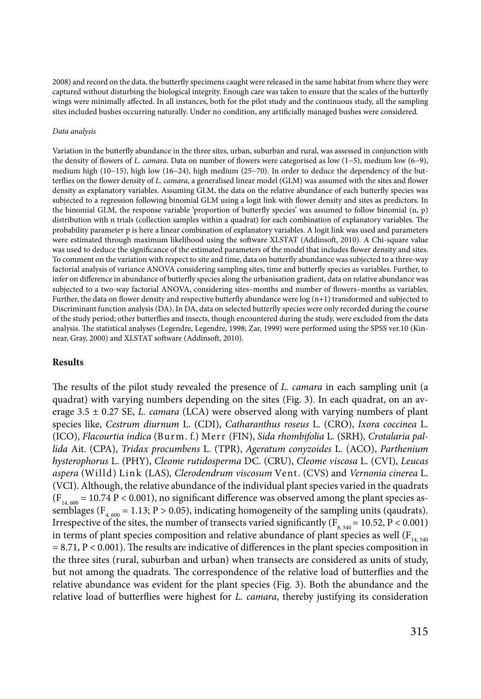2008) and record on the data, the butterfly specimens caught were released in the same habitat from where they were captured without disturbing the biological integrity. Enough care was taken to ensure that the scales of the butterfly wings were minimally affected. In all instances, both for the pilot study and the continuous study, all the sampling sites included bushes occurring naturally. Under no condition, any artificially managed bushes were considered.

## *Data analysis*

Variation in the butterfly abundance in the three sites, urban, suburban and rural, was assessed in conjunction with the density of flowers of *L. camara*. Data on number of flowers were categorised as low (1−5), medium low (6−9), medium high (10−15), high low (16−24), high medium (25−70). In order to deduce the dependency of the butterflies on the flower density of *L. camara,* a generalised linear model (GLM) was assumed with the sites and flower density as explanatory variables. Assuming GLM, the data on the relative abundance of each butterfly species was subjected to a regression following binomial GLM using a logit link with flower density and sites as predictors. In the binomial GLM, the response variable 'proportion of butterfly species' was assumed to follow binomial (n, p) distribution with n trials (collection samples within a quadrat) for each combination of explanatory variables. The probability parameter p is here a linear combination of explanatory variables. A logit link was used and parameters were estimated through maximum likelihood using the software XLSTAT (Addinsoft, 2010). A Chi-square value was used to deduce the significance of the estimated parameters of the model that includes flower density and sites. To comment on the variation with respect to site and time, data on butterfly abundance was subjected to a three-way factorial analysis of variance ANOVA considering sampling sites, time and butterfly species as variables. Further, to infer on difference in abundance of butterfly species along the urbanisation gradient, data on relative abundance was subjected to a two-way factorial ANOVA, considering sites–months and number of flowers–months as variables. Further, the data on flower density and respective butterfly abundance were log (n+1) transformed and subjected to Discriminant function analysis (DA). In DA, data on selected butterfly species were only recorded during the course of the study period; other butterflies and insects, though encountered during the study, were excluded from the data analysis. The statistical analyses (Legendre, Legendre, 1998; Zar, 1999) were performed using the SPSS ver.10 (Kinnear, Gray, 2000) and XLSTAT software (Addinsoft, 2010).

# **Results**

The results of the pilot study revealed the presence of *L. camara* in each sampling unit (a quadrat) with varying numbers depending on the sites (Fig. 3). In each quadrat, on an average 3.5 ± 0.27 SE, *L. camara* (LCA) were observed along with varying numbers of plant species like, *Cestrum diurnum* L. (CDI), *Catharanthus roseus* L. (CRO), *Ixora coccinea* L. (ICO), *Flacourtia indica* (Burm. f.) Merr (FIN), *Sida rhombifolia* L. (SRH)*, Crotalaria pallida* Ait. (CPA), *Tridax procumbens* L. (TPR), *Ageratum conyzoides* L. (ACO), *Parthenium hysterophorus* L. (PHY), *Cleome rutidosperma* DC. (CRU), *Cleome viscosa* L. (CVI), *Leucas aspera* (Willd) Link (LAS)*, Clerodendrum viscosum* Vent. (CVS) and *Vernonia cinerea* L. (VCI). Although, the relative abundance of the individual plant species varied in the quadrats  $(F<sub>14,600</sub> = 10.74 P < 0.001)$ , no significant difference was observed among the plant species assemblages ( $F_{4,600}$  = 1.13; P > 0.05), indicating homogeneity of the sampling units (qaudrats). Irrespective of the sites, the number of transects varied significantly ( $F_{8, 540} = 10.52$ , P < 0.001) in terms of plant species composition and relative abundance of plant species as well ( $F_{14, 540}$ ) = 8.71, P < 0.001). The results are indicative of differences in the plant species composition in the three sites (rural, suburban and urban) when transects are considered as units of study, but not among the quadrats. The correspondence of the relative load of butterflies and the relative abundance was evident for the plant species (Fig. 3). Both the abundance and the relative load of butterflies were highest for *L. camara*, thereby justifying its consideration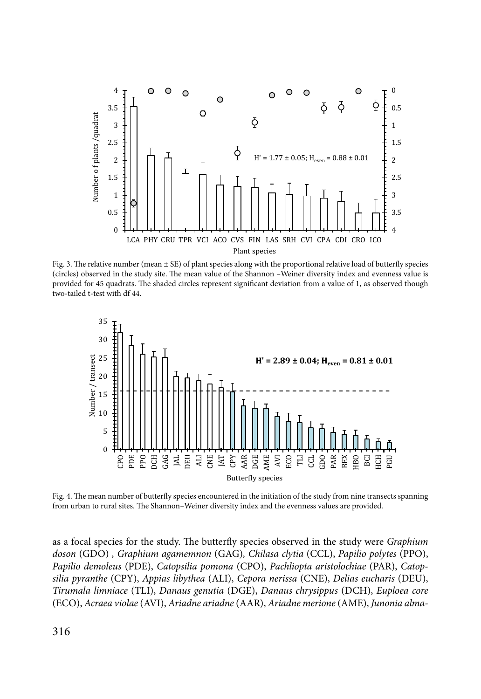

Fig. 3. The relative number (mean  $\pm$  SE) of plant species along with the proportional relative load of butterfly species (circles) observed in the study site. The mean value of the Shannon –Weiner diversity index and evenness value is provided for 45 quadrats. The shaded circles represent significant deviation from a value of 1, as observed though two-tailed t-test with df 44.



Fig. 4. The mean number of butterfly species encountered in the initiation of the study from nine transects spanning from urban to rural sites. The Shannon–Weiner diversity index and the evenness values are provided.

as a focal species for the study. The butterfly species observed in the study were *Graphium doson* (GDO) *, Graphium agamemnon* (GAG)*, Chilasa clytia* (CCL), *Papilio polytes* (PPO), *Papilio demoleus* (PDE), *Catopsilia pomona* (CPO), *Pachliopta aristolochiae* (PAR), *Catopsilia pyranthe* (CPY), *Appias libythea* (ALI), *Cepora nerissa* (CNE), *Delias eucharis* (DEU), *Tirumala limniace* (TLI), *Danaus genutia* (DGE), *Danaus chrysippus* (DCH), *Euploea core*  (ECO), *Acraea violae* (AVI), *Ariadne ariadne* (AAR), *Ariadne merione* (AME), *Junonia alma-*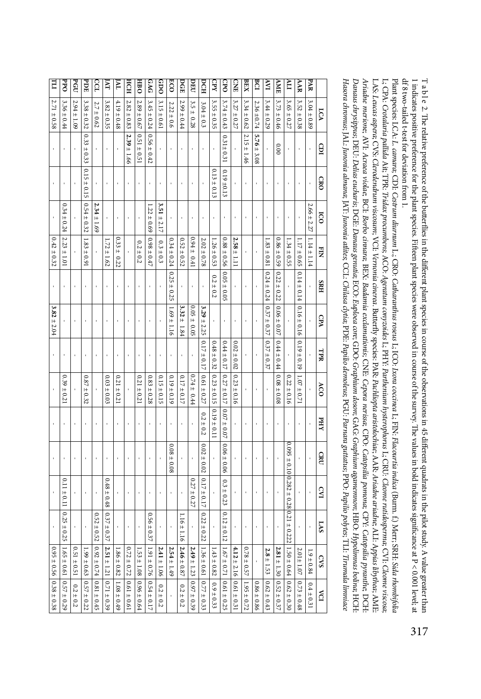dt 8 two-tailed t-test for deviation from 1. Table 2. The relative preference of the butterflies in the different plant species in course of the observations in 45 different quadrats in the pilot study. A value greater than 1 indicates positive preference for the plant species. Fifteen plant species were observed in course of the survey. The values in bold indicates significance at P < 0.001 level, at df 8 two-tailed t-test for deviation from 1. 1 indicates positive preference for the plant species. Fifteen plant species were observed in course of the survey. The values in bold indicates significance at P < 0.001 level; at  $\Gamma$  a b l e 2. The relative preference of the butterflies in the different plant species in course of the observations in 45 different quadrats in the pilot study. A value greater than

Plant species: LCA: *L. camara*; CDI: *Cestrum diurnum* L.; CRO: *Catharanthus roseus* L; ICO: *Ixora coccinea* L; FIN: *Flacourtia indica* (Burm. f.) Merr; SRH: *Sida rhombifolia* L; CPA: *Crotalaria pallida* Ait; TPR: *Tridax procumbens*; ACO: *Ageratum conyzoides* L; PHY: *Parthenium hysterophorus* L; CRU: *Cleome rutidosperma*; CVI: *Cleome viscosa*; LAS: *Leucas aspera*; CVS: *Clerodendrum viscosum*; VCI: *Vernonia cinerea*. Butterfly species: PAR: *Pachliopta aristolochiae*; AAR: *Ariadne ariadne*; ALI: A*ppias libythea*; AME: *Ariadne merion*e; AVI: *Acraea violae*; BCI: *Borbo cinnara*; BEX: *Badamia exclamationis*; CNE: *Cepora nerissa*; CPO: *Catopsilia pomona*; CPY: *Catopsilia pyranthe*; DCH: *Danaus chrysippus*; DEU: *Delias eucharis*; DGE: *Danaus genutia*; ECO: *Euploea core*; GDO: *Graphium doson*; GAG: *Graphium agamemnon*; HBO: *Hypolimnas bolina*; HCH: *Hasora chromus*; JAL: *Junonia almana*; JAT: *Junonia atlites*; CCL: *Chilasa clytia*; PDE: *Papilio demoleus*; PGU: *Parnara guttatus*; PPO: *Papilio polytes*; TLI: *Tirumala limniace*

|            | LCA                             | ā               | CRO                                             | <b>ICO</b>                    | $\Xi$                           | <b>SRH</b>                                          | CPA                                                                                     | HRR                                                 | ACO              | <b>KH4</b>                    | CRU             | CVI                                                 | <b>LAS</b>                          | CVS                               | ŊΩ              |
|------------|---------------------------------|-----------------|-------------------------------------------------|-------------------------------|---------------------------------|-----------------------------------------------------|-----------------------------------------------------------------------------------------|-----------------------------------------------------|------------------|-------------------------------|-----------------|-----------------------------------------------------|-------------------------------------|-----------------------------------|-----------------|
| PAR        | $3.04 \pm 0.89$                 |                 |                                                 | $2.66 \pm 2.27$               | $1.14 \pm 1.14$                 |                                                     |                                                                                         |                                                     |                  |                               |                 |                                                     |                                     | $1.9 \pm 0.84$                    | $0.4 \pm 0.31$  |
| AAR        | $3.52 \pm 0.38$                 |                 |                                                 |                               |                                 |                                                     | $1.17 \pm 0.65$   0.14 $\pm$ 0.14   0.16 $\pm$ 0.16   0.19 $\pm$ 0.19   1.07 $\pm$ 0.71 |                                                     |                  |                               |                 |                                                     |                                     | 2.01±1.07                         | $0.73 \pm 0.48$ |
| IΤV        | $3.65 \pm 0.27$                 |                 |                                                 |                               | $1.34 \pm 0.55$                 |                                                     |                                                                                         |                                                     | $0.22 \pm 0.16$  |                               |                 | $ 0.095 \pm 0.10 0.282 \pm 0.28 0.21 \pm 0.222$     |                                     | $1.50 \pm 0.64$                   | $0.62 \pm 0.30$ |
| AME        | $3.73 \pm 0.46$                 | 0.00            |                                                 |                               |                                 | $0.86 \pm 0.59$   $0.22 \pm 0.22$   $0.06 \pm 0.07$ |                                                                                         | $H(0, 44 + 0.44)$                                   | $ 0.08 \pm 0.08$ |                               |                 |                                                     |                                     | $2.81 \pm 1.30$ 0.52 ± 0.37       |                 |
| IVA        | $3.44 \pm 0.29$                 |                 |                                                 |                               | $1.83 \pm 0.81$                 | $0.24 \pm 0.24$   0.37 $\pm$ 0.37                   |                                                                                         | $0.37 \pm 0.37$                                     |                  |                               |                 |                                                     |                                     | $2.8 \pm 1.53$                    | $0.62 \pm 0.43$ |
| $_{108}$   | $2.36 \pm 0.74$ 5.76 ± 3.08     |                 |                                                 |                               |                                 |                                                     |                                                                                         |                                                     |                  |                               | ï               |                                                     |                                     |                                   | $0.86 \pm 0.86$ |
| Xня        | $3.34 \pm 0.62$                 | $2.15 \pm 1.46$ |                                                 |                               |                                 |                                                     |                                                                                         |                                                     |                  |                               |                 |                                                     |                                     | $0.78 \pm 0.57$                   | $1.95 \pm 0.72$ |
| CNE        | $3.27 \pm 0.27$                 |                 |                                                 |                               | $2.58 \pm 1.11$                 |                                                     |                                                                                         | $0.02 \pm 0.02$                                     | $0.23 \pm 0.16$  |                               |                 |                                                     |                                     | $4.12 \pm 2.16$ 0.61 $\pm$ 0.31   |                 |
| CPO        | $3.74 \pm 0.43$                 | $0.31 \pm 0.31$ | $0.19 + 0.13$                                   |                               | $0.88 \pm 0.56$ 0.05 $\pm 0.05$ |                                                     |                                                                                         | $0.44 \pm 0.17$                                     | $0.27 \pm 0.17$  | $0.07 \pm 0.07$   0.06 ± 0.06 |                 | $10.3 \pm 0.23$                                     | $0.12 \pm 0.12$                     | $1.67 \pm 0.71$                   | $0.61 \pm 0.25$ |
| GPY        | $3.55 \pm 0.35$                 |                 | $0.13 \pm 0.13$                                 |                               | $.26 \pm 0.53$                  | $0.2 \pm 0.2$                                       |                                                                                         | $0.48 \pm 0.32$                                     | $0.23 \pm 0.15$  | $0.19 \pm 0.11$               |                 |                                                     |                                     | $.43 \pm 0.82$                    | $0.9 \pm 0.33$  |
| DСH        | $3.04 \pm 0.3$                  |                 |                                                 |                               | $2.02 \pm 0.78$                 |                                                     |                                                                                         | $3.29 \pm 2.25$   0.17 $\pm$ 0.17   0.61 $\pm$ 0.27 |                  | $0.2 \pm 0.2$                 |                 | $0.02 \pm 0.02$   $0.17 \pm 0.17$   $0.22 \pm 0.22$ |                                     | $1.36 \pm 0.61$   0.77 $\pm 0.33$ |                 |
| <b>DEC</b> | $3.5 \pm 0.28$                  |                 |                                                 |                               | $0.94 \pm 0.41$                 |                                                     | $0.05 \pm 0.05$                                                                         |                                                     | $0.74 \pm 0.44$  |                               |                 | $0.27 \pm 0.27$                                     |                                     | $2.49 \pm 1.23$                   | $0.97 \pm 0.39$ |
| DGE        | $2.99 \pm 0.44$                 |                 |                                                 |                               | $0.52 \pm 0.52$                 |                                                     | $3.32 \pm 1.84$                                                                         |                                                     | $0.17 \pm 0.17$  |                               |                 |                                                     | $1.16 \pm 1.16$ $\pm 2.46 \pm 0.87$ |                                   | $0.2 \pm 0.2$   |
| ECO        | $2.22 \pm 0.6$                  |                 |                                                 |                               | $0.34 \pm 0.24$ 0.25 $\pm 0.25$ |                                                     | $1.69 \pm 1.16$                                                                         |                                                     | $0.19 \pm 0.19$  |                               | $0.08 \pm 0.08$ |                                                     |                                     | $2.54 \pm 1.49$                   |                 |
| odĐ        | $3.15 \pm 0.61$                 |                 |                                                 | $3.51 \pm 2.17$               | $0.3 \pm 0.3$                   |                                                     |                                                                                         |                                                     | $0.15 \pm 0.15$  |                               |                 |                                                     |                                     | $2.41 \pm 1.06$                   | $0.2 \pm 0.2$   |
| GAG        | $3.45 \pm 0.24$ 0.56 $\pm 0.42$ |                 |                                                 | $.22 \pm 0.69$                | $0.98 \pm 0.47$                 |                                                     |                                                                                         |                                                     | $0.83 \pm 0.28$  |                               |                 |                                                     | $0.56 \pm 0.37$                     | $1.91 \pm 0.76$ 0.54 $\pm 0.17$   |                 |
| <b>HBO</b> | $2.89 \pm 0.67$                 | $0.51 \pm 0.51$ |                                                 |                               | $0.2 \pm 0.2$                   |                                                     |                                                                                         |                                                     | $0.21 \pm 0.21$  |                               |                 |                                                     |                                     | $1.53 \pm 0.96 \pm 0.64$          |                 |
| HCH        | $2.82 \pm 0.83$                 | $2.39 \pm 1.66$ |                                                 |                               |                                 |                                                     |                                                                                         |                                                     |                  |                               |                 |                                                     |                                     | $0.72 \pm 0.72$ 0.61 $\pm$ 0.61   |                 |
| F          | $4.19 \pm 0.48$                 |                 |                                                 |                               | $0.33 \pm 0.22$                 |                                                     |                                                                                         |                                                     | $0.21 \pm 0.21$  |                               |                 |                                                     |                                     | $1.86 \pm 0.82$                   | $1.08 \pm 0.49$ |
| Ę          | $3.82 \pm 0.35$                 |                 |                                                 |                               | $1.72 \pm 1.62$                 |                                                     |                                                                                         |                                                     | $0.03 \pm 0.03$  |                               |                 | $0.48 \pm 0.48$ 0.37 ± 0.37                         |                                     | $2.51 \pm 1.21$                   | $0.71 \pm 0.39$ |
| Sci        | $2.7 \pm 0.62$                  |                 |                                                 | $2.34 \pm 1.69$               |                                 |                                                     |                                                                                         |                                                     |                  |                               |                 |                                                     | $0.52 \pm 0.52$                     | $0.92 \pm 0.74$                   | $0.81 \pm 0.45$ |
| PDE        | $3.38 \pm 0.32$                 |                 | $0.33 \pm 0.33$ 0.15 $\pm 0.15$ 0.54 $\pm 0.32$ |                               | $ 1.83 \pm 0.91$                |                                                     |                                                                                         |                                                     | $0.87 \pm 0.32$  |                               | ï               |                                                     |                                     | $1.99 \pm 0.63$ $0.57 \pm 0.22$   |                 |
| PGU        | $2.94 \pm 1.09$                 |                 |                                                 |                               |                                 |                                                     |                                                                                         |                                                     |                  |                               |                 |                                                     |                                     | $0.51 \pm 0.51$                   | $0.2\pm0.2$     |
| <b>Dad</b> | $3.36 \pm 0.44$                 |                 |                                                 | $0.34 \pm 0.24$   2.23 ± 1.01 |                                 |                                                     |                                                                                         |                                                     | $0.39 \pm 0.21$  |                               |                 | $0.11 \pm 0.11$   $0.25 \pm 0.25$                   |                                     | $1.65 \pm 0.61$   0.57 $\pm$ 0.29 |                 |
| Ξ          | $2.71 \pm 0.58$                 |                 |                                                 |                               | $0.42\pm0.32$                   |                                                     | $3.82 \pm 2.04$                                                                         |                                                     |                  |                               |                 |                                                     |                                     | $0.95 \pm 0.56$   0.38 $\pm$ 0.38 |                 |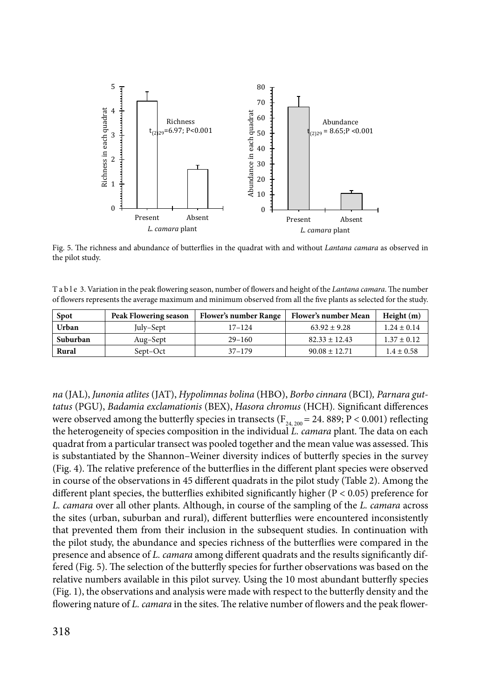

Fig. 5. The richness and abundance of butterflies in the quadrat with and without *Lantana camara* as observed in the pilot study.

T a b l e 3. Variation in the peak flowering season, number of flowers and height of the *Lantana camara*. The number of flowers represents the average maximum and minimum observed from all the five plants as selected for the study.

| <b>Spot</b> | Peak Flowering season | <b>Flower's number Range</b> | Flower's number Mean | Height $(m)$    |
|-------------|-----------------------|------------------------------|----------------------|-----------------|
| Urban       | July–Sept             | $17 - 124$                   | $63.92 + 9.28$       | $1.24 \pm 0.14$ |
| Suburban    | Aug–Sept              | $29 - 160$                   | $82.33 + 12.43$      | $1.37 \pm 0.12$ |
| Rural       | Sept-Oct              | $37 - 179$                   | $90.08 \pm 12.71$    | $1.4 \pm 0.58$  |

*na* (JAL), *Junonia atlites* (JAT), *Hypolimnas bolina* (HBO), *Borbo cinnara* (BCI)*, Parnara guttatus* (PGU), *Badamia exclamationis* (BEX), *Hasora chromus* (HCH)*.* Significant differences were observed among the butterfly species in transects ( $F_{24, 200}$  = 24. 889; P < 0.001) reflecting the heterogeneity of species composition in the individual *L. camara* plant. The data on each quadrat from a particular transect was pooled together and the mean value was assessed. This is substantiated by the Shannon–Weiner diversity indices of butterfly species in the survey (Fig. 4). The relative preference of the butterflies in the different plant species were observed in course of the observations in 45 different quadrats in the pilot study (Table 2). Among the different plant species, the butterflies exhibited significantly higher (P < 0.05) preference for *L. camara* over all other plants. Although, in course of the sampling of the *L. camara* across the sites (urban, suburban and rural), different butterflies were encountered inconsistently that prevented them from their inclusion in the subsequent studies. In continuation with the pilot study, the abundance and species richness of the butterflies were compared in the presence and absence of *L. camara* among different quadrats and the results significantly differed (Fig. 5). The selection of the butterfly species for further observations was based on the relative numbers available in this pilot survey. Using the 10 most abundant butterfly species (Fig. 1), the observations and analysis were made with respect to the butterfly density and the flowering nature of *L. camara* in the sites. The relative number of flowers and the peak flower-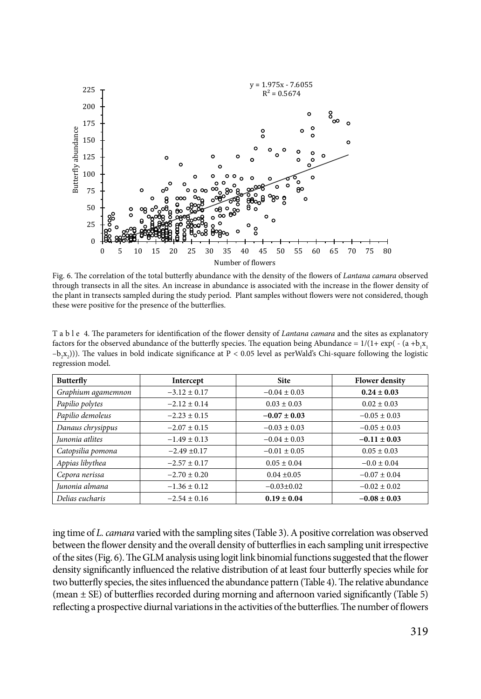

Fig. 6. The correlation of the total butterfly abundance with the density of the flowers of *Lantana camara* observed through transects in all the sites. An increase in abundance is associated with the increase in the flower density of the plant in transects sampled during the study period. Plant samples without flowers were not considered, though these were positive for the presence of the butterflies.

| T a b l e 4. The parameters for identification of the flower density of Lantana camara and the sites as explanatory             |
|---------------------------------------------------------------------------------------------------------------------------------|
| factors for the observed abundance of the butterfly species. The equation being Abundance = $1/(1 + \exp(-\hat{a} + b_x))$ .    |
| $-b_{\mathbf{x}}$ )). The values in bold indicate significance at P < 0.05 level as perWald's Chi-square following the logistic |
| regression model.                                                                                                               |

| <b>Butterfly</b>   | Intercept        | <b>Site</b>      | <b>Flower density</b> |
|--------------------|------------------|------------------|-----------------------|
| Graphium agamemnon | $-3.12 \pm 0.17$ | $-0.04 \pm 0.03$ | $0.24 \pm 0.03$       |
| Papilio polytes    | $-2.12 \pm 0.14$ | $0.03 + 0.03$    | $0.02 \pm 0.03$       |
| Papilio demoleus   | $-2.23 \pm 0.15$ | $-0.07 \pm 0.03$ | $-0.05 \pm 0.03$      |
| Danaus chrysippus  | $-2.07 \pm 0.15$ | $-0.03 \pm 0.03$ | $-0.05 \pm 0.03$      |
| Junonia atlites    | $-1.49 \pm 0.13$ | $-0.04 \pm 0.03$ | $-0.11 \pm 0.03$      |
| Catopsilia pomona  | $-2.49 \pm 0.17$ | $-0.01 \pm 0.05$ | $0.05 \pm 0.03$       |
| Appias libythea    | $-2.57 \pm 0.17$ | $0.05 \pm 0.04$  | $-0.0 \pm 0.04$       |
| Cepora nerissa     | $-2.70 \pm 0.20$ | $0.04 + 0.05$    | $-0.07 \pm 0.04$      |
| Junonia almana     | $-1.36 \pm 0.12$ | $-0.03 \pm 0.02$ | $-0.02 \pm 0.02$      |
| Delias eucharis    | $-2.54 \pm 0.16$ | $0.19 \pm 0.04$  | $-0.08 \pm 0.03$      |

ing time of *L. camara* varied with the sampling sites (Table 3). A positive correlation was observed between the flower density and the overall density of butterflies in each sampling unit irrespective of the sites(Fig. 6).The GLM analysis using logit link binomial functions suggested that the flower density significantly influenced the relative distribution of at least four butterfly species while for two butterfly species, the sites influenced the abundance pattern (Table 4). The relative abundance (mean ± SE) of butterflies recorded during morning and afternoon varied significantly (Table 5) reflecting a prospective diurnal variations in the activities of the butterflies. The number of flowers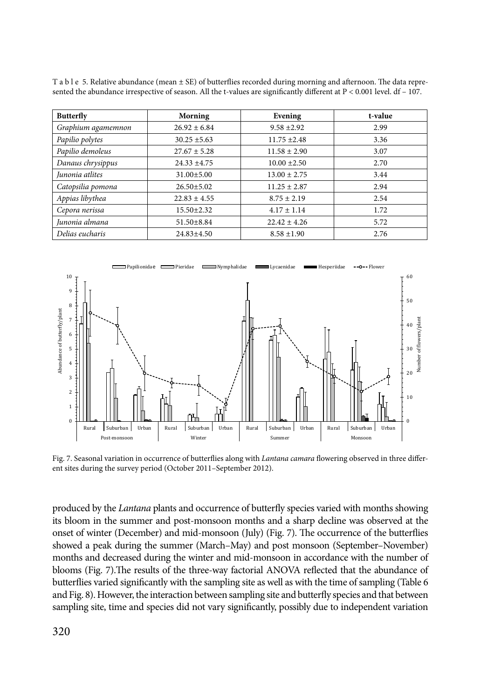| Butterfly          | Morning          | Evening          | t-value |
|--------------------|------------------|------------------|---------|
| Graphium agamemnon | $26.92 \pm 6.84$ | $9.58 \pm 2.92$  | 2.99    |
| Papilio polytes    | $30.25 \pm 5.63$ | $11.75 \pm 2.48$ | 3.36    |
| Papilio demoleus   | $27.67 \pm 5.28$ | $11.58 + 2.90$   | 3.07    |
| Danaus chrysippus  | $24.33 + 4.75$   | $10.00 + 2.50$   | 2.70    |
| Junonia atlites    | $31.00 \pm 5.00$ | $13.00 \pm 2.75$ | 3.44    |
| Catopsilia pomona  | $26.50 \pm 5.02$ | $11.25 \pm 2.87$ | 2.94    |
| Appias libythea    | $22.83 + 4.55$   | $8.75 \pm 2.19$  | 2.54    |
| Cepora nerissa     | $15.50 \pm 2.32$ | $4.17 \pm 1.14$  | 1.72    |
| Junonia almana     | $51.50 \pm 8.84$ | $22.42 + 4.26$   | 5.72    |
| Delias eucharis    | $24.83 \pm 4.50$ | $8.58 \pm 1.90$  | 2.76    |

T a b l e 5. Relative abundance (mean ± SE) of butterflies recorded during morning and afternoon. The data represented the abundance irrespective of season. All the t-values are significantly different at P < 0.001 level. df – 107.



Fig. 7. Seasonal variation in occurrence of butterflies along with *Lantana camara* flowering observed in three different sites during the survey period (October 2011–September 2012).

produced by the *Lantana* plants and occurrence of butterfly species varied with months showing its bloom in the summer and post-monsoon months and a sharp decline was observed at the onset of winter (December) and mid-monsoon (July) (Fig. 7). The occurrence of the butterflies showed a peak during the summer (March–May) and post monsoon (September–November) months and decreased during the winter and mid-monsoon in accordance with the number of blooms (Fig. 7).The results of the three-way factorial ANOVA reflected that the abundance of butterflies varied significantly with the sampling site as well as with the time of sampling (Table 6 and Fig. 8). However, the interaction between sampling site and butterfly species and that between sampling site, time and species did not vary significantly, possibly due to independent variation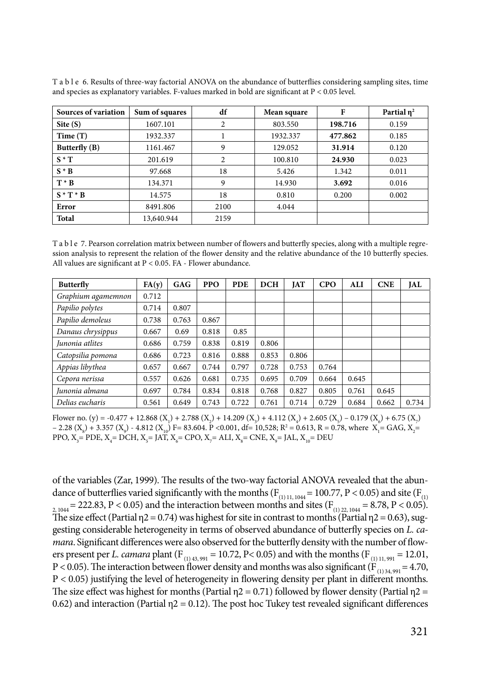| Sources of variation | Sum of squares | df   | Mean square | F       | Partial $\eta^2$ |
|----------------------|----------------|------|-------------|---------|------------------|
| Site $(S)$           | 1607.101       | 2    | 803.550     | 198.716 | 0.159            |
| Time $(T)$           | 1932.337       |      | 1932.337    | 477.862 | 0.185            |
| Butterfly (B)        | 1161.467       | 9    | 129.052     | 31.914  | 0.120            |
| $S^*T$               | 201.619        | 2    | 100.810     | 24.930  | 0.023            |
| $S * B$              | 97.668         | 18   | 5.426       | 1.342   | 0.011            |
| $T * B$              | 134.371        | 9    | 14.930      | 3.692   | 0.016            |
| $S^*T^*B$            | 14.575         | 18   | 0.810       | 0.200   | 0.002            |
| Error                | 8491.806       | 2100 | 4.044       |         |                  |
| <b>Total</b>         | 13,640.944     | 2159 |             |         |                  |

T a b l e 6. Results of three-way factorial ANOVA on the abundance of butterflies considering sampling sites, time and species as explanatory variables. F-values marked in bold are significant at P < 0.05 level.

T a b l e 7. Pearson correlation matrix between number of flowers and butterfly species, along with a multiple regression analysis to represent the relation of the flower density and the relative abundance of the 10 butterfly species. All values are significant at P < 0.05. FA - Flower abundance.

| <b>Butterfly</b>   | FA(y) | GAG   | <b>PPO</b> | <b>PDE</b> | <b>DCH</b> | <b>JAT</b> | <b>CPO</b> | ALI   | <b>CNE</b> | JAL   |
|--------------------|-------|-------|------------|------------|------------|------------|------------|-------|------------|-------|
| Graphium agamemnon | 0.712 |       |            |            |            |            |            |       |            |       |
| Papilio polytes    | 0.714 | 0.807 |            |            |            |            |            |       |            |       |
| Papilio demoleus   | 0.738 | 0.763 | 0.867      |            |            |            |            |       |            |       |
| Danaus chrysippus  | 0.667 | 0.69  | 0.818      | 0.85       |            |            |            |       |            |       |
| Junonia atlites    | 0.686 | 0.759 | 0.838      | 0.819      | 0.806      |            |            |       |            |       |
| Catopsilia pomona  | 0.686 | 0.723 | 0.816      | 0.888      | 0.853      | 0.806      |            |       |            |       |
| Appias libythea    | 0.657 | 0.667 | 0.744      | 0.797      | 0.728      | 0.753      | 0.764      |       |            |       |
| Cepora nerissa     | 0.557 | 0.626 | 0.681      | 0.735      | 0.695      | 0.709      | 0.664      | 0.645 |            |       |
| Junonia almana     | 0.697 | 0.784 | 0.834      | 0.818      | 0.768      | 0.827      | 0.805      | 0.761 | 0.645      |       |
| Delias eucharis    | 0.561 | 0.649 | 0.743      | 0.722      | 0.761      | 0.714      | 0.729      | 0.684 | 0.662      | 0.734 |

Flower no. (y) = -0.477 + 12.868 (X<sub>1</sub>) + 2.788 (X<sub>2</sub>) + 14.209 (X<sub>3</sub>) + 4.112 (X<sub>4</sub>) + 2.605 (X<sub>5</sub>) – 0.179 (X<sub>6</sub>) + 6.75 (X<sub>7</sub>)  $-2.28$  (X<sub>8</sub>) + 3.357 (X<sub>9</sub>) - 4.812 (X<sub>10</sub>) F= 83.604. P <0.001, df= 10,528; R<sup>2</sup> = 0.613, R = 0.78, where X<sub>1</sub>= GAG, X<sub>2</sub>= PPO,  $X_3$  = PDE,  $X_4$  = DCH,  $X_5$  = JAT,  $X_6$  = CPO,  $X_7$  = ALI,  $X_8$  = CNE,  $X_9$  = JAL,  $X_{10}$  = DEU

of the variables (Zar, 1999). The results of the two-way factorial ANOVA revealed that the abundance of butterflies varied significantly with the months ( $F_{_{(1)11,1044}}$  = 100.77, P < 0.05) and site ( $F_{_{(1)}}$  $_{2,1044}$  = 222.83, P < 0.05) and the interaction between months and sites (F<sub>(1)22,1044</sub> = 8.78, P < 0.05). The size effect (Partial  $\eta$ 2 = 0.74) was highest for site in contrast to months (Partial  $\eta$ 2 = 0.63), suggesting considerable heterogeneity in terms of observed abundance of butterfly species on *L. camara*. Significant differences were also observed for the butterfly density with the number of flowers present per *L. camara* plant (F<sub>(1) 43, 991</sub> = 10.72, P< 0.05) and with the months (F<sub>(1) 11, 991</sub> = 12.01, P < 0.05). The interaction between flower density and months was also significant (F<sub>(1)34,991</sub> = 4.70, P < 0.05) justifying the level of heterogeneity in flowering density per plant in different months. The size effect was highest for months (Partial  $n^2 = 0.71$ ) followed by flower density (Partial  $n^2 =$ 0.62) and interaction (Partial  $\eta$ 2 = 0.12). The post hoc Tukey test revealed significant differences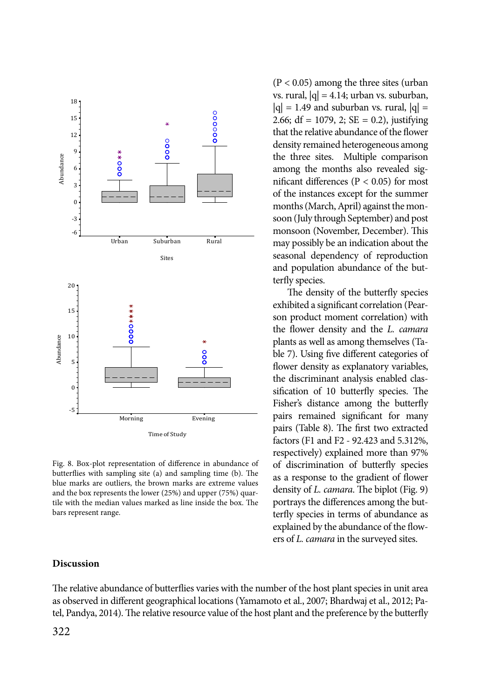

Fig. 8. Box-plot representation of difference in abundance of butterflies with sampling site (a) and sampling time (b). The blue marks are outliers, the brown marks are extreme values and the box represents the lower (25%) and upper (75%) quartile with the median values marked as line inside the box. The bars represent range.

# **Discussion**

(P < 0.05) among the three sites (urban vs. rural,  $|q| = 4.14$ ; urban vs. suburban,  $|q| = 1.49$  and suburban vs. rural,  $|q| =$ 2.66;  $df = 1079$ , 2;  $SE = 0.2$ ), justifying that the relative abundance of the flower density remained heterogeneous among the three sites. Multiple comparison among the months also revealed significant differences ( $P < 0.05$ ) for most of the instances except for the summer months (March, April) against the monsoon (July through September) and post monsoon (November, December). This may possibly be an indication about the seasonal dependency of reproduction and population abundance of the butterfly species. (P<br>vs<br>|q

The density of the butterfly species exhibited a significant correlation (Pearson product moment correlation) with the flower density and the *L. camara*  plants as well as among themselves (Ta-5 ble 7). Using five different categories of flower density as explanatory variables, the discriminant analysis enabled classification of 10 butterfly species. The Fisher's distance among the butterfly pairs remained significant for many pairs (Table 8). The first two extracted parts (Table b). The first two extracted factors (F1 and F2 -  $92.423$  and 5.312%, respectively) explained more than 97% of discrimination of butterfly species as a response to the gradient of flower density of *L. camara*. The biplot (Fig. 9) portrays the differences among the butterfly species in terms of abundance as explained by the abundance of the flowers of *L. camara* in the surveyed sites.  $\frac{e}{sh}$ 

The relative abundance of butterflies varies with the number of the host plant species in unit area as observed in different geographical locations (Yamamoto et al., 2007; Bhardwaj et al., 2012; Patel, Pandya, 2014). The relative resource value of the host plant and the preference by the butterfly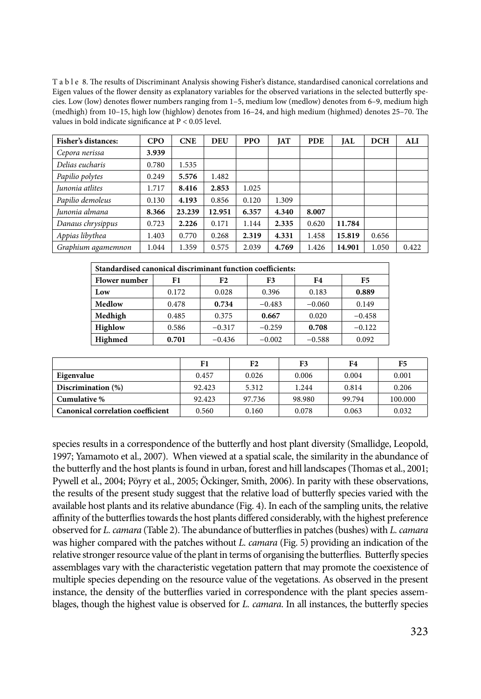T a b l e 8. The results of Discriminant Analysis showing Fisher's distance, standardised canonical correlations and Eigen values of the flower density as explanatory variables for the observed variations in the selected butterfly species. Low (low) denotes flower numbers ranging from 1–5, medium low (medlow) denotes from 6–9, medium high (medhigh) from 10–15, high low (highlow) denotes from 16–24, and high medium (highmed) denotes 25–70. The values in bold indicate significance at P < 0.05 level.

| Fisher's distances: | <b>CPO</b> | <b>CNE</b> | <b>DEU</b> | <b>PPO</b> | <b>JAT</b> | <b>PDE</b> | JAL    | <b>DCH</b> | ALI   |
|---------------------|------------|------------|------------|------------|------------|------------|--------|------------|-------|
| Cepora nerissa      | 3.939      |            |            |            |            |            |        |            |       |
| Delias eucharis     | 0.780      | 1.535      |            |            |            |            |        |            |       |
| Papilio polytes     | 0.249      | 5.576      | 1.482      |            |            |            |        |            |       |
| Iunonia atlites     | 1.717      | 8.416      | 2.853      | 1.025      |            |            |        |            |       |
| Papilio demoleus    | 0.130      | 4.193      | 0.856      | 0.120      | 1.309      |            |        |            |       |
| Junonia almana      | 8.366      | 23.239     | 12.951     | 6.357      | 4.340      | 8.007      |        |            |       |
| Danaus chrysippus   | 0.723      | 2.226      | 0.171      | 1.144      | 2.335      | 0.620      | 11.784 |            |       |
| Appias libythea     | 1.403      | 0.770      | 0.268      | 2.319      | 4.331      | 1.458      | 15.819 | 0.656      |       |
| Graphium agamemnon  | 1.044      | 1.359      | 0.575      | 2.039      | 4.769      | 1.426      | 14.901 | 1.050      | 0.422 |

| Standardised canonical discriminant function coefficients: |       |                |          |          |          |
|------------------------------------------------------------|-------|----------------|----------|----------|----------|
| <b>Flower number</b>                                       | F1    | F <sub>2</sub> | F3       | F4       | F5       |
| Low                                                        | 0.172 | 0.028          | 0.396    | 0.183    | 0.889    |
| Medlow                                                     | 0.478 | 0.734          | $-0.483$ | $-0.060$ | 0.149    |
| Medhigh                                                    | 0.485 | 0.375          | 0.667    | 0.020    | $-0.458$ |
| Highlow                                                    | 0.586 | $-0.317$       | $-0.259$ | 0.708    | $-0.122$ |
| Highmed                                                    | 0.701 | $-0.436$       | $-0.002$ | $-0.588$ | 0.092    |

|                                          | F1     | F2     | F3     | F4     | F5      |
|------------------------------------------|--------|--------|--------|--------|---------|
| Eigenvalue                               | 0.457  | 0.026  | 0.006  | 0.004  | 0.001   |
| Discrimination (%)                       | 92.423 | 5.312  | 1.244  | 0.814  | 0.206   |
| Cumulative %                             | 92.423 | 97.736 | 98.980 | 99.794 | 100.000 |
| <b>Canonical correlation coefficient</b> | 0.560  | 0.160  | 0.078  | 0.063  | 0.032   |

species results in a correspondence of the butterfly and host plant diversity (Smallidge, Leopold, 1997; Yamamoto et al., 2007). When viewed at a spatial scale, the similarity in the abundance of the butterfly and the host plants is found in urban, forest and hill landscapes (Thomas et al., 2001; Pywell et al., 2004; Pöyry et al., 2005; Öckinger, Smith, 2006). In parity with these observations, the results of the present study suggest that the relative load of butterfly species varied with the available host plants and its relative abundance (Fig. 4). In each of the sampling units, the relative affinity of the butterflies towards the host plants differed considerably, with the highest preference observed for *L. camara* (Table 2). The abundance of butterflies in patches (bushes) with *L. camara*  was higher compared with the patches without *L. camara* (Fig. 5) providing an indication of the relative stronger resource value of the plant in terms of organising the butterflies. Butterfly species assemblages vary with the characteristic vegetation pattern that may promote the coexistence of multiple species depending on the resource value of the vegetations. As observed in the present instance, the density of the butterflies varied in correspondence with the plant species assemblages, though the highest value is observed for *L. camara*. In all instances, the butterfly species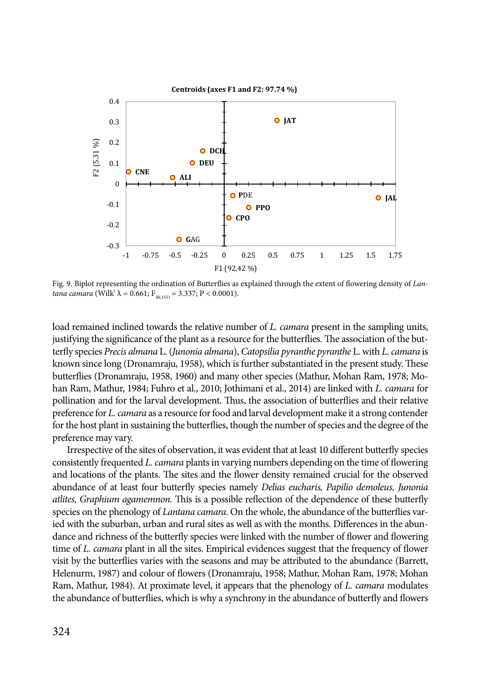

Fig. 9. Biplot representing the ordination of Butterflies as explained through the extent of flowering density of *Lantana camara* (Wilk'  $\lambda = 0.661$ ;  $F_{40.1551} = 3.337$ ;  $P < 0.0001$ ).

load remained inclined towards the relative number of *L. camara* present in the sampling units, justifying the significance of the plant as a resource for the butterflies. The association of the butterfly species *Precis almana* L. (*Junonia almana*), *Catopsilia pyranthe pyranthe* L. with *L. camara* is known since long (Dronamraju, 1958), which is further substantiated in the present study. These butterflies (Dronamraju, 1958, 1960) and many other species (Mathur, Mohan Ram, 1978; Mohan Ram, Mathur, 1984; Fuhro et al., 2010; Jothimani et al., 2014) are linked with *L. camara* for pollination and for the larval development. Thus, the association of butterflies and their relative preference for *L. camara* as a resource for food and larval development make it a strong contender for the host plant in sustaining the butterflies, though the number of species and the degree of the preference may vary.

Irrespective of the sites of observation, it was evident that at least 10 different butterfly species consistently frequented *L. camara* plants in varying numbers depending on the time of flowering and locations of the plants. The sites and the flower density remained crucial for the observed abundance of at least four butterfly species namely *Delias eucharis, Papilio demoleus, Junonia atlites, Graphium agamemnon.* This is a possible reflection of the dependence of these butterfly species on the phenology of *Lantana camara*. On the whole, the abundance of the butterflies varied with the suburban, urban and rural sites as well as with the months. Differences in the abundance and richness of the butterfly species were linked with the number of flower and flowering time of *L. camara* plant in all the sites. Empirical evidences suggest that the frequency of flower visit by the butterflies varies with the seasons and may be attributed to the abundance (Barrett, Helenurm, 1987) and colour of flowers (Dronamraju, 1958; Mathur, Mohan Ram, 1978; Mohan Ram, Mathur, 1984). At proximate level, it appears that the phenology of *L. camara* modulates the abundance of butterflies, which is why a synchrony in the abundance of butterfly and flowers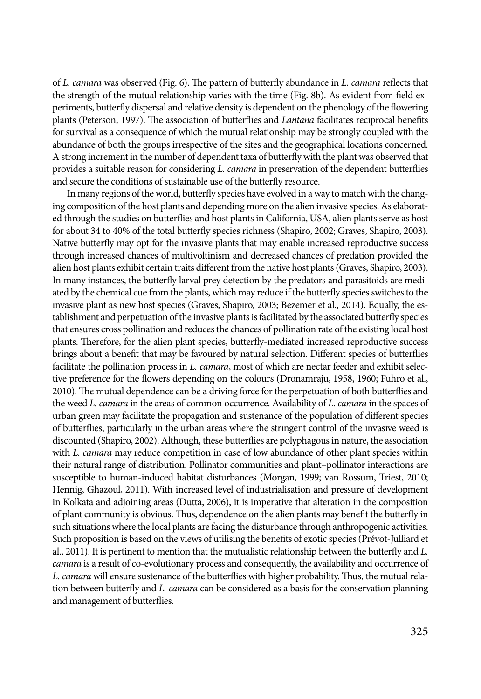of *L. camara* was observed (Fig. 6). The pattern of butterfly abundance in *L. camara* reflects that the strength of the mutual relationship varies with the time (Fig. 8b). As evident from field experiments, butterfly dispersal and relative density is dependent on the phenology of the flowering plants (Peterson, 1997). The association of butterflies and *Lantana* facilitates reciprocal benefits for survival as a consequence of which the mutual relationship may be strongly coupled with the abundance of both the groups irrespective of the sites and the geographical locations concerned. A strong increment in the number of dependent taxa of butterfly with the plant was observed that provides a suitable reason for considering *L. camara* in preservation of the dependent butterflies and secure the conditions of sustainable use of the butterfly resource.

In many regions of the world, butterfly species have evolved in a way to match with the changing composition of the host plants and depending more on the alien invasive species. As elaborated through the studies on butterflies and host plants in California, USA, alien plants serve as host for about 34 to 40% of the total butterfly species richness (Shapiro, 2002; Graves, Shapiro, 2003). Native butterfly may opt for the invasive plants that may enable increased reproductive success through increased chances of multivoltinism and decreased chances of predation provided the alien host plants exhibit certain traits different from the native host plants (Graves, Shapiro, 2003). In many instances, the butterfly larval prey detection by the predators and parasitoids are mediated by the chemical cue from the plants, which may reduce if the butterfly species switches to the invasive plant as new host species (Graves, Shapiro, 2003; Bezemer et al., 2014). Equally, the establishment and perpetuation of the invasive plants is facilitated by the associated butterfly species that ensures cross pollination and reduces the chances of pollination rate of the existing local host plants. Therefore, for the alien plant species, butterfly-mediated increased reproductive success brings about a benefit that may be favoured by natural selection. Different species of butterflies facilitate the pollination process in *L. camara*, most of which are nectar feeder and exhibit selective preference for the flowers depending on the colours (Dronamraju, 1958, 1960; Fuhro et al., 2010). The mutual dependence can be a driving force for the perpetuation of both butterflies and the weed *L. camara* in the areas of common occurrence. Availability of *L. camara* in the spaces of urban green may facilitate the propagation and sustenance of the population of different species of butterflies, particularly in the urban areas where the stringent control of the invasive weed is discounted (Shapiro, 2002). Although, these butterflies are polyphagous in nature, the association with *L. camara* may reduce competition in case of low abundance of other plant species within their natural range of distribution. Pollinator communities and plant–pollinator interactions are susceptible to human-induced habitat disturbances (Morgan, 1999; van Rossum, Triest, 2010; Hennig, Ghazoul, 2011). With increased level of industrialisation and pressure of development in Kolkata and adjoining areas (Dutta, 2006), it is imperative that alteration in the composition of plant community is obvious. Thus, dependence on the alien plants may benefit the butterfly in such situations where the local plants are facing the disturbance through anthropogenic activities. Such proposition is based on the views of utilising the benefits of exotic species (Prévot-Julliard et al., 2011). It is pertinent to mention that the mutualistic relationship between the butterfly and *L. camara* is a result of co-evolutionary process and consequently, the availability and occurrence of *L. camara* will ensure sustenance of the butterflies with higher probability. Thus, the mutual relation between butterfly and *L. camara* can be considered as a basis for the conservation planning and management of butterflies.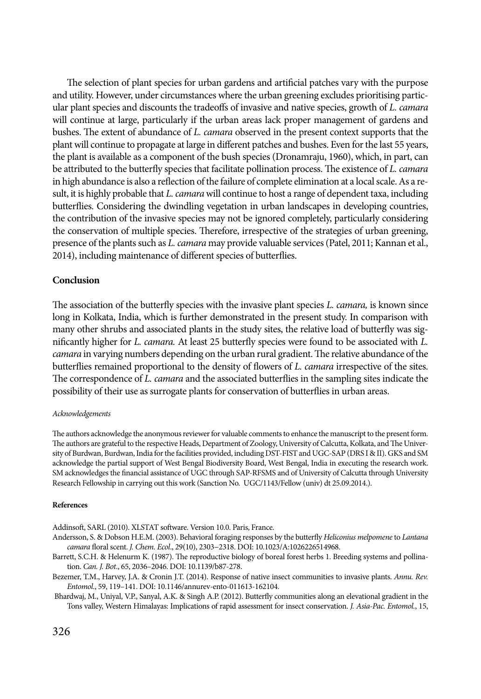The selection of plant species for urban gardens and artificial patches vary with the purpose and utility. However, under circumstances where the urban greening excludes prioritising particular plant species and discounts the tradeoffs of invasive and native species, growth of *L. camara* will continue at large, particularly if the urban areas lack proper management of gardens and bushes. The extent of abundance of *L. camara* observed in the present context supports that the plant will continue to propagate at large in different patches and bushes. Even for the last 55 years, the plant is available as a component of the bush species (Dronamraju, 1960), which, in part, can be attributed to the butterfly species that facilitate pollination process. The existence of *L. camara* in high abundance is also a reflection of the failure of complete elimination at a local scale. As a result, it is highly probable that *L. camara* will continue to host a range of dependent taxa, including butterflies. Considering the dwindling vegetation in urban landscapes in developing countries, the contribution of the invasive species may not be ignored completely, particularly considering the conservation of multiple species. Therefore, irrespective of the strategies of urban greening, presence of the plants such as *L. camara* may provide valuable services (Patel, 2011; Kannan et al., 2014), including maintenance of different species of butterflies.

# **Conclusion**

The association of the butterfly species with the invasive plant species *L. camara,* is known since long in Kolkata, India, which is further demonstrated in the present study. In comparison with many other shrubs and associated plants in the study sites, the relative load of butterfly was significantly higher for *L. camara.* At least 25 butterfly species were found to be associated with *L. camara* in varying numbers depending on the urban rural gradient. The relative abundance of the butterflies remained proportional to the density of flowers of *L. camara* irrespective of the sites. The correspondence of *L. camara* and the associated butterflies in the sampling sites indicate the possibility of their use as surrogate plants for conservation of butterflies in urban areas.

#### *Acknowledgements*

The authors acknowledge the anonymous reviewer for valuable comments to enhance the manuscript to the present form. The authors are grateful to the respective Heads, Department of Zoology, University of Calcutta, Kolkata, and The University of Burdwan, Burdwan, India for the facilities provided, including DST-FIST and UGC-SAP (DRS I & II). GKS and SM acknowledge the partial support of West Bengal Biodiversity Board, West Bengal, India in executing the research work. SM acknowledges the financial assistance of UGC through SAP-RFSMS and of University of Calcutta through University Research Fellowship in carrying out this work (Sanction No. UGC/1143/Fellow (univ) dt 25.09.2014.).

#### **References**

Addinsoft, SARL (2010). XLSTAT software. Version 10.0. Paris, France.

- Andersson, S. & Dobson H.E.M. (2003). Behavioral foraging responses by the butterfly *Heliconius melpomene* to *Lantana camara* floral scent. *J. Chem. Ecol*., 29(10), 2303−2318. [DOI: 10.1023/A:1026226514968.](http://dx.doi.org/10.1023/A:1026226514968)
- Barrett, S.C.H. & Helenurm K. (1987). The reproductive biology of boreal forest herbs 1. Breeding systems and pollination. *Can. J. Bot*., 65, 2036–2046. [DOI: 10.1139/b87-278.](http://dx.doi.org/10.1139/b87-278)
- Bezemer, T.M., Harvey, J.A. & Cronin J.T. (2014). Response of native insect communities to invasive plants. *Annu. Rev. Entomol*., 59, 119–141. [DOI: 10.1146/annurev-ento-011613-162104](http://dx.doi.org/10.1146/annurev-ento-011613-162104).
- Bhardwaj, M., Uniyal, V.P., Sanyal, A.K. & Singh A.P. (2012). Butterfly communities along an elevational gradient in the Tons valley, Western Himalayas: Implications of rapid assessment for insect conservation. *J. Asia-Pac. Entomol.*, 15,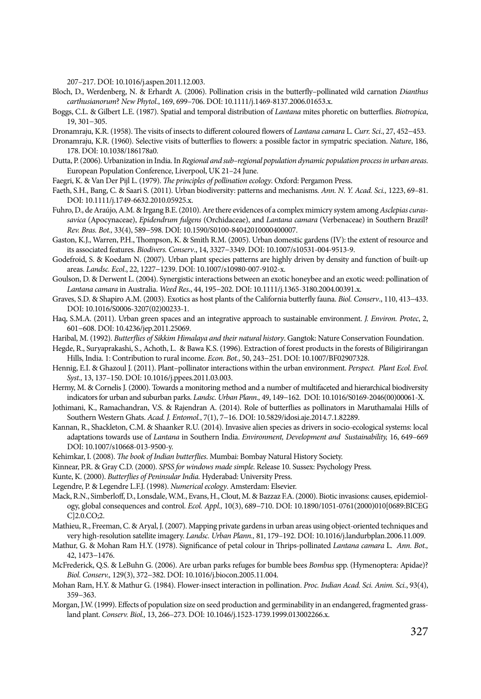207-217. DOI: 10.1016/j.aspen.2011.12.003.

- Bloch, D., Werdenberg, N. & Erhardt A. (2006). Pollination crisis in the butterfly–pollinated wild carnation *Dianthus carthusianorum*? *New Phytol*., 169, 699–706. [DOI: 10.1111/j.1469-8137.2006.01653.x.](http://dx.doi.org/10.1111/j.1469-8137.2006.01653.x)
- Boggs, C.L. & Gilbert L.E. (1987). Spatial and temporal distribution of *Lantana* mites phoretic on butterflies. *Biotropica*, 19, 301−305.

Dronamraju, K.R. (1958). The visits of insects to different coloured flowers of *Lantana camara* L. *Curr. Sci*., 27, 452−453.

- Dronamraju, K.R. (1960). Selective visits of butterflies to flowers: a possible factor in sympatric speciation. *Nature*, 186, 178. [DOI: 10.1038/186178a0](http://dx.doi.org/10.1038/186178a0).
- Dutta, P. (2006). Urbanization in India. In *Regional and sub–regional population dynamic population process in urban areas*. European Population Conference, Liverpool, UK 21–24 June.
- Faegri, K. & Van Der Pijl L. (1979). *The principles of pollination ecology*. Oxford: Pergamon Press.
- Faeth, S.H., Bang, C. & Saari S. (2011). Urban biodiversity: patterns and mechanisms. *Ann. N. Y. Acad. Sci.,* 1223, 69–81. [DOI: 10.1111/j.1749-6632.2010.05925.x](http://dx.doi.org/10.1111/j.1749-6632.2010.05925.x).
- Fuhro, D., de Araújo, A.M. & Irgang B.E. (2010). Are there evidences of a complex mimicry system among *Asclepias curassavica* (Apocynaceae), *Epidendrum fulgens* (Orchidaceae), and *Lantana camara* (Verbenaceae) in Southern Brazil? *Rev. Bras. Bot.,* 33(4), 589−598. [DOI: 10.1590/S0100-84042010000400007.](http://dx.doi.org/10.1590/S0100-84042010000400007)
- Gaston, K.J., Warren, P.H., Thompson, K. & Smith R.M. (2005). Urban domestic gardens (IV): the extent of resource and its associated features. *Biodivers. Conserv*., 14, 3327−3349. [DOI: 10.1007/s10531-004-9513-9.](http://dx.doi.org/10.1007/s10531-004-9513-9)
- Godefroid, S. & Koedam N. (2007). Urban plant species patterns are highly driven by density and function of built-up areas. *Landsc. Ecol*., 22, 1227−1239. [DOI: 10.1007/s10980-007-9102-x](http://dx.doi.org/10.1007/s10980-007-9102-x).
- Goulson, D. & Derwent L. (2004). Synergistic interactions between an exotic honeybee and an exotic weed: pollination of *Lantana camara* in Australia. *Weed Res*., 44, 195−202. [DOI: 10.1111/j.1365-3180.2004.00391.x](http://dx.doi.org/10.1111/j.1365-3180.2004.00391.x).
- Graves, S.D. & Shapiro A.M. (2003). Exotics as host plants of the California butterfly fauna. *Biol. Conserv*., 110, 413−433. DOI: 10.1016/S0006-3207(02)00233-1.
- Haq, S.M.A. (2011). Urban green spaces and an integrative approach to sustainable environment. *J. Environ. Protec*, 2, 601−608. [DOI: 10.4236/jep.2011.25069](http://dx.doi.org/10.4236/jep.2011.25069).
- Haribal, M. (1992). *Butterflies of Sikkim Himalaya and their natural history*. Gangtok: Nature Conservation Foundation.
- Hegde, R., Suryaprakashi, S., Achoth, L. & Bawa K.S. (1996). Extraction of forest products in the forests of Biligirirangan Hills, India. 1: Contribution to rural income. *Econ. Bot.*, 50, 243−251. [DOI: 10.1007/BF02907328.](http://dx.doi.org/10.1007/BF02907328)
- Hennig, E.I. & Ghazoul J. (2011). Plant–pollinator interactions within the urban environment. *Perspect. Plant Ecol. Evol.*  Syst., 13, 137-150. DOI: 10.1016/j.ppees.2011.03.003.
- Hermy, M. & Cornelis J. (2000). Towards a monitoring method and a number of multifaceted and hierarchical biodiversity indicators for urban and suburban parks. *Landsc. Urban Plann.*, 49, 149-162. DOI: 10.1016/S0169-2046(00)00061-X.
- Jothimani, K., Ramachandran, V.S. & Rajendran A. (2014). Role of butterflies as pollinators in Maruthamalai Hills of Southern Western Ghats. *Acad. J. Entomol.*, 7(1), 7−16. [DOI: 10.5829/idosi.aje.2014.7.1.82289](http://dx.doi.org/10.5829/idosi.aje.2014.7.1.82289).
- Kannan, R., Shackleton, C.M. & Shaanker R.U. (2014). Invasive alien species as drivers in socio-ecological systems: local adaptations towards use of *Lantana* in Southern India. *Environment, Development and Sustainability,* 16, 649–669 [DOI: 10.1007/s10668-013-9500-y.](http://dx.doi.org/10.1007/s10668-013-9500-y)
- Kehimkar, I. (2008). *The book of Indian butterflies*. Mumbai: Bombay Natural History Society.
- Kinnear, P.R. & Gray C.D. (2000). *SPSS for windows made simple*. Release 10. Sussex: Psychology Press.
- Kunte, K. (2000). *Butterflies of Peninsular India.* Hyderabad: University Press.
- Legendre, P. & Legendre L.F.J. (1998). *Numerical ecology*. Amsterdam: Elsevier.
- Mack, R.N., Simberloff, D., Lonsdale, W.M., Evans, H., Clout, M. & Bazzaz F.A. (2000). Biotic invasions: causes, epidemiology, global consequences and control. *Ecol. Appl.,* 10(3), 689−710. [DOI: 10.1890/1051-0761\(2000\)010\[0689:BICEG](http://dx.doi.org/10.1890/1051-0761(2000)010[0689:BICEGC]2.0.CO;2) [C\]2.0.CO;2](http://dx.doi.org/10.1890/1051-0761(2000)010[0689:BICEGC]2.0.CO;2).
- Mathieu, R., Freeman, C. & Aryal, J. (2007). Mapping private gardens in urban areas using object-oriented techniques and very high-resolution satellite imagery. *Landsc. Urban Plann.*, 81, 179–192. DOI: 10.1016/j.landurbplan.2006.11.009.
- Mathur, G. & Mohan Ram H.Y. (1978). Significance of petal colour in Thrips-pollinated *Lantana camara* L. *Ann. Bot.,* 42, 1473−1476.
- McFrederick, Q.S. & LeBuhn G. (2006). Are urban parks refuges for bumble bees *Bombus* spp. (Hymenoptera: Apidae)? *Biol. Conserv.,* 129(3), 372−382. [doi: 10.1016/j.biocon.2005.11.004](http://dx.doi.org/10.1016/j.biocon.2005.11.004).
- Mohan Ram, H.Y. & Mathur G. (1984). Flower-insect interaction in pollination. *Proc. Indian Acad. Sci. Anim. Sci.*, 93(4), 359−363.
- Morgan, J.W. (1999). Effects of population size on seed production and germinability in an endangered, fragmented grassland plant. *Conserv. Biol.,* 13, 266–273. [DOI: 10.1046/j.1523-1739.1999.013002266.x](http://dx.doi.org/10.1046/j.1523-1739.1999.013002266.x).